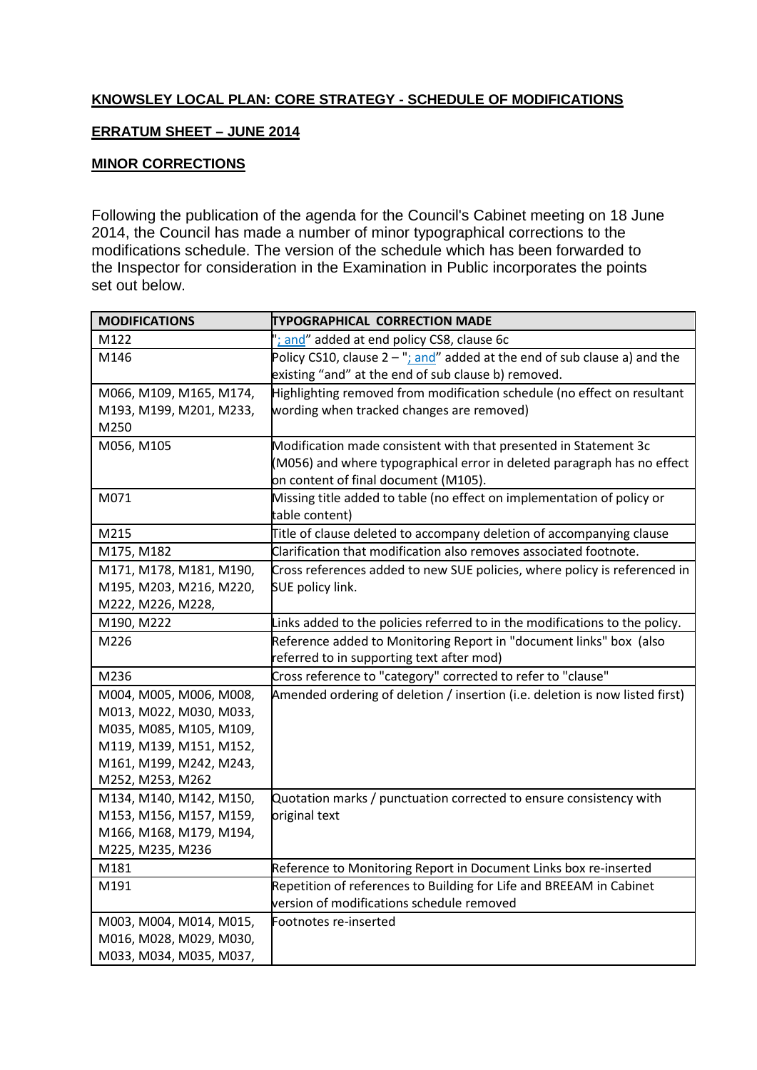## **KNOWSLEY LOCAL PLAN: CORE STRATEGY - SCHEDULE OF MODIFICATIONS**

## **ERRATUM SHEET – JUNE 2014**

## **MINOR CORRECTIONS**

Following the publication of the agenda for the Council's Cabinet meeting on 18 June 2014, the Council has made a number of minor typographical corrections to the modifications schedule. The version of the schedule which has been forwarded to the Inspector for consideration in the Examination in Public incorporates the points set out below.

| <b>MODIFICATIONS</b>    | <b>TYPOGRAPHICAL CORRECTION MADE</b>                                         |
|-------------------------|------------------------------------------------------------------------------|
| M122                    | and" added at end policy CS8, clause 6c                                      |
| M146                    | Policy CS10, clause $2 -$ "; and" added at the end of sub clause a) and the  |
|                         | existing "and" at the end of sub clause b) removed.                          |
| M066, M109, M165, M174, | Highlighting removed from modification schedule (no effect on resultant      |
| M193, M199, M201, M233, | wording when tracked changes are removed)                                    |
| M250                    |                                                                              |
| M056, M105              | Modification made consistent with that presented in Statement 3c             |
|                         | (M056) and where typographical error in deleted paragraph has no effect      |
|                         | on content of final document (M105).                                         |
| M071                    | Missing title added to table (no effect on implementation of policy or       |
|                         | table content)                                                               |
| M215                    | Title of clause deleted to accompany deletion of accompanying clause         |
| M175, M182              | Clarification that modification also removes associated footnote.            |
| M171, M178, M181, M190, | Cross references added to new SUE policies, where policy is referenced in    |
| M195, M203, M216, M220, | SUE policy link.                                                             |
| M222, M226, M228,       |                                                                              |
| M190, M222              | Links added to the policies referred to in the modifications to the policy.  |
| M226                    | Reference added to Monitoring Report in "document links" box (also           |
|                         | referred to in supporting text after mod)                                    |
| M236                    | Cross reference to "category" corrected to refer to "clause"                 |
| M004, M005, M006, M008, | Amended ordering of deletion / insertion (i.e. deletion is now listed first) |
| M013, M022, M030, M033, |                                                                              |
| M035, M085, M105, M109, |                                                                              |
| M119, M139, M151, M152, |                                                                              |
| M161, M199, M242, M243, |                                                                              |
| M252, M253, M262        |                                                                              |
| M134, M140, M142, M150, | Quotation marks / punctuation corrected to ensure consistency with           |
| M153, M156, M157, M159, | original text                                                                |
| M166, M168, M179, M194, |                                                                              |
| M225, M235, M236        |                                                                              |
| M181                    | Reference to Monitoring Report in Document Links box re-inserted             |
| M191                    | Repetition of references to Building for Life and BREEAM in Cabinet          |
|                         | version of modifications schedule removed                                    |
| M003, M004, M014, M015, | Footnotes re-inserted                                                        |
| M016, M028, M029, M030, |                                                                              |
| M033, M034, M035, M037, |                                                                              |